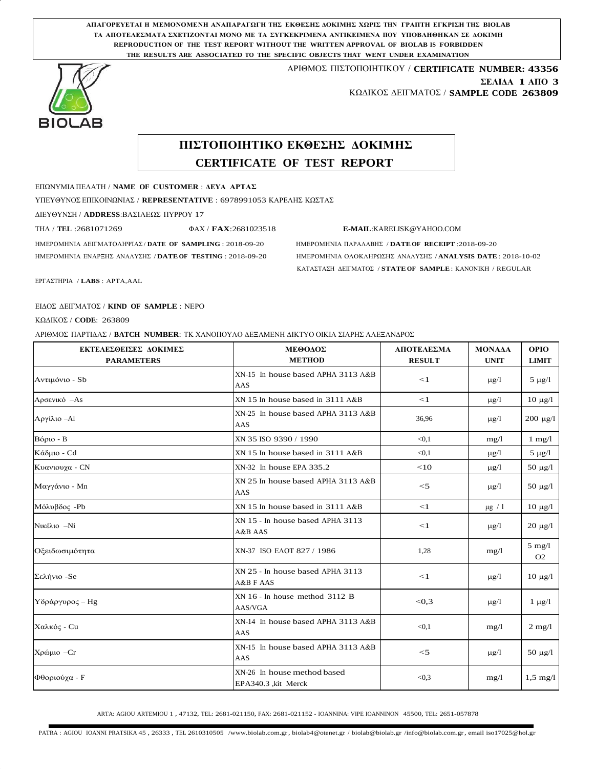**ΑΠΑΓΟΡΕΥΕΤΑΙ Η ΜΕΜΟΝΟΜΕΝΗ ΑΝΑΠΑΡΑΓΩΓΗ ΤΗΣ ΕΚΘΕΣΗΣ ΔΟΚΙΜΗΣ ΧΩΡΙΣ ΤΗΝ ΓΡΑΠΤΗ ΕΓΚΡΙΣΗ ΤΗΣ BIOLAB ΤΑ ΑΠΟΤΕΛΕΣΜΑΤΑ ΣΧΕΤΙΖΟΝΤΑΙ ΜΟΝΟ ΜΕ ΤΑ ΣΥΓΚΕΚΡΙΜΕΝΑ ΑΝΤΙΚΕΙΜΕΝΑ ΠΟΥ ΥΠΟΒΛΗΘΗΚΑΝ ΣΕ ΔΟΚΙΜΗ REPRODUCTION OF THE TEST REPORT WITHOUT THE WRITTEN APPROVAL OF BIOLAB IS FORBIDDEN THE RESULTS ARE ASSOCIATED TO THE SPECIFIC OBJECTS THAT WENT UNDER EXAMINATION**



## ΑΡΙΘΜΟΣ ΠΙΣΤΟΠΟΙΗΤΙΚΟΥ / **CERTIFICATE NUMBER: 43356 ΣΕΛΙΔΑ 1 ΑΠΟ 3**

ΚΩΔΙΚΟΣ ΔΕΙΓΜΑΤΟΣ / **SAMPLE CODE 263809**

## **ΠΙΣΤΟΠΟΙΗΤΙΚΟ ΕΚΘΕΣΗΣ ΔΟΚΙΜΗΣ CERTIFICATE OF TEST REPORT**

ΕΠΩΝΥΜΙΑ ΠΕΛΑΤΗ / **NAME OF CUSTOMER** : **ΔΕΥΑ ΑΡΤΑΣ**

ΥΠΕΥΘΥΝΟΣ ΕΠΙΚΟΙΝΩΝΙΑΣ / **REPRESENTATIVE** : 6978991053 ΚΑΡΕΛΗΣ ΚΩΣΤΑΣ

ΔΙΕΥΘΥΝΣΗ / **ADDRESS**:ΒΑΣΙΛΕΩΣ ΠΥΡΡΟΥ 17

ΤΗΛ / **TEL** :2681071269 ΦΑΧ / **FAX**:2681023518 **[E-MAIL](mailto:E-MAIL:KARELISK@YAHOO.COM)**[:KARELISK@YAHOO.COM](mailto:E-MAIL:KARELISK@YAHOO.COM)

ΗΜΕΡΟΜΗΝΙΑ ΔΕΙΓΜΑΤΟΛΗΨΙΑΣ / **DATE OF SAMPLING** : 2018-09-20 ΗΜΕΡΟΜΗΝΙΑ ΠΑΡΑΛΑΒΗΣ / **DATE OF RECEIPT** :2018-09-20 ΗΜΕΡΟΜΗΝΙΑ ΕΝΑΡΞΗΣ ΑΝΑΛΥΣΗΣ / **DATE OF TESTING** : 2018-09-20 ΗΜΕΡΟΜΗΝΙΑ ΟΛΟΚΛΗΡΩΣΗΣ ΑΝΑΛΥΣΗΣ / **ANALYSIS DATE**: 2018-10-02 ΚΑΤΑΣΤΑΣΗ ΔΕΙΓΜΑΤΟΣ / **STATE OF SAMPLE**: ΚΑΝΟΝΙΚΗ / REGULAR

ΕΡΓΑΣΤΗΡΙA / **LABS** : ΑΡΤΑ,AAL

ΕΙΔΟΣ ΔΕΙΓΜΑΤΟΣ / **KIND OF SAMPLE** : ΝΕΡΟ

ΚΩΔΙΚΟΣ / **CODE**: 263809

ΑΡΙΘΜΟΣ ΠΑΡΤΙΔΑΣ / **BATCH NUMBER**: ΤΚ ΧΑΝΟΠΟΥΛΟ ΔΕΞΑΜΕΝΗ ΔΙΚΤΥΟ ΟΙΚΙΑ ΣΙΑΡΗΣ ΑΛΕΞΑΝΔΡΟΣ

| ΕΚΤΕΛΕΣΘΕΙΣΕΣ ΔΟΚΙΜΕΣ<br><b>PARAMETERS</b> | ΜΕΘΟΔΟΣ<br><b>METHOD</b>                           | ΑΠΟΤΕΛΕΣΜΑ<br><b>RESULT</b> | <b>MONAAA</b><br><b>UNIT</b> | <b>OPIO</b><br><b>LIMIT</b> |
|--------------------------------------------|----------------------------------------------------|-----------------------------|------------------------------|-----------------------------|
| Αντιμόνιο - Sb                             | XN-15 In house based APHA 3113 A&B<br>AAS          | $\leq$ 1                    | $\mu$ g/l                    | $5 \mu g/l$                 |
| Αρσενικό - As                              | XN 15 In house based in 3111 A&B                   | $<$ 1                       | $\mu$ g/l                    | $10 \mu g/l$                |
| Αργίλιο – Al                               | XN-25 In house based APHA 3113 A&B<br>AAS          | 36,96                       | $\mu$ g/l                    | $200 \mu g/l$               |
| $B$ όριο - $B$                             | XN 35 ISO 9390 / 1990                              | < 0.1                       | mg/l                         | $1 \text{ mg}/1$            |
| Κάδμιο - Cd                                | XN 15 In house based in 3111 A&B                   | < 0.1                       | $\mu$ g/l                    | $5 \mu g/l$                 |
| Κυανιουχα - CN                             | XN-32 In house EPA 335.2                           | <10                         | $\mu$ g/l                    | $50 \mu g/l$                |
| Μαγγάνιο - Mn                              | XN 25 In house based APHA 3113 A&B<br>AAS          | $<$ 5                       | $\mu$ g/l                    | 50 $\mu$ g/l                |
| Μόλυβδος - Ρb                              | XN 15 In house based in 3111 A&B                   | $<$ 1                       | $\mu$ g / 1                  | $10 \mu g/l$                |
| Νικέλιο -Νί                                | XN 15 - In house based APHA 3113<br>A&B AAS        | <1                          | $\mu$ g/l                    | $20 \mu g/l$                |
| Οξειδωσιμότητα                             | XN-37 ISO EAOT 827 / 1986                          | 1,28                        | mg/l                         | $5$ mg/l<br>O <sub>2</sub>  |
| Σελήνιο -Se                                | XN 25 - In house based APHA 3113<br>A&B F AAS      | <1                          | $\mu$ g/l                    | $10 \mu g/l$                |
| Υδράργυρος – Ηg                            | XN 16 - In house method 3112 B<br>AAS/VGA          | < 0.3                       | $\mu$ g/l                    | $1 \mu g/l$                 |
| Χαλκός - Cu                                | XN-14 In house based APHA 3113 A&B<br>AAS          | < 0.1                       | mg/l                         | $2 \text{ mg}/1$            |
| Χρώμιο - Cr                                | XN-15 In house based APHA 3113 A&B<br>AAS          | $<$ 5                       | $\mu$ g/l                    | $50 \mu g/l$                |
| Φθοριούχα - F                              | XN-26 In house method based<br>EPA340.3 ,kit Merck | < 0.3                       | mg/l                         | $1,5 \text{ mg}/1$          |

ARTA: AGIOU ARTEMIOU 1 , 47132, TEL: 2681-021150, FAX: 2681-021152 - IOANNINA: VIPE IOANNINON 45500, TEL: 2651-057878

PATRA : AGIOU IOANNI PRATSIKA 45 , 26333 , TEL 2610310505 /www.biolab.com.gr, biolab4@otenet.gr / biolab@biolab.gr /info@biolab.com.gr, email iso17025@hol.gr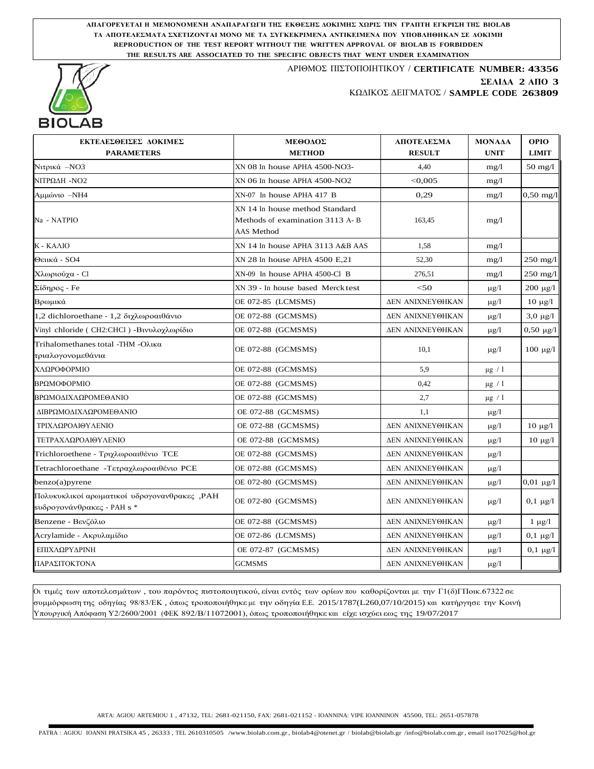**ΑΠΑΓΟΡΕΥΕΤΑΙ Η ΜΕΜΟΝΟΜΕΝΗ ΑΝΑΠΑΡΑΓΩΓΗ ΤΗΣ ΕΚΘΕΣΗΣ ΔΟΚΙΜΗΣ ΧΩΡΙΣ ΤΗΝ ΓΡΑΠΤΗ ΕΓΚΡΙΣΗ ΤΗΣ BIOLAB ΤΑ ΑΠΟΤΕΛΕΣΜΑΤΑ ΣΧΕΤΙΖΟΝΤΑΙ ΜΟΝΟ ΜΕ ΤΑ ΣΥΓΚΕΚΡΙΜΕΝΑ ΑΝΤΙΚΕΙΜΕΝΑ ΠΟΥ ΥΠΟΒΛΗΘΗΚΑΝ ΣΕ ΔΟΚΙΜΗ REPRODUCTION OF THE TEST REPORT WITHOUT THE WRITTEN APPROVAL OF BIOLAB IS FORBIDDEN THE RESULTS ARE ASSOCIATED TO THE SPECIFIC OBJECTS THAT WENT UNDER EXAMINATION**



## ΑΡΙΘΜΟΣ ΠΙΣΤΟΠΟΙΗΤΙΚΟΥ / **CERTIFICATE NUMBER: 43356 ΣΕΛΙΔΑ 2 ΑΠΟ 3** ΚΩΔΙΚΟΣ ΔΕΙΓΜΑΤΟΣ / **SAMPLE CODE 263809**

| ΕΚΤΕΛΕΣΘΕΙΣΕΣ ΔΟΚΙΜΕΣ                                                      | ΜΕΘΟΔΟΣ                                                                         | ΑΠΟΤΕΛΕΣΜΑ              | <b>MONAAA</b> | <b>OPIO</b>         |
|----------------------------------------------------------------------------|---------------------------------------------------------------------------------|-------------------------|---------------|---------------------|
| <b>PARAMETERS</b>                                                          | <b>METHOD</b>                                                                   | <b>RESULT</b>           | <b>UNIT</b>   | <b>LIMIT</b>        |
| Νιτρικά -ΝΟ3                                                               | XN 08 In house APHA 4500-NO3-                                                   | 4,40                    | mg/1          | $50 \text{ mg}/1$   |
| ΝΙΤΡΩΔΗ - ΝΟ2                                                              | XN 06 In house APHA 4500-NO2                                                    | < 0.005                 | mg/l          |                     |
| Αμμώνιο -ΝΗ4                                                               | XN-07 In house APHA 417 B                                                       | 0,29                    | mg/l          | $0,50 \text{ mg}/1$ |
| Na - NATPIO                                                                | XN 14 In house method Standard<br>Methods of examination 3113 A-B<br>AAS Method | 163,45                  | mg/l          |                     |
| Κ - ΚΑΛΙΟ                                                                  | XN 14 In house APHA 3113 A&B AAS                                                | 1.58                    | mg/1          |                     |
| Θειικά - SO4                                                               | XN 28 In house APHA 4500 E,21                                                   | 52.30                   | mg/l          | $250 \text{ mg}/1$  |
| Χλωριούχα - Cl                                                             | XN-09 In house APHA 4500-Cl B                                                   | 276,51                  | mg/1          | 250 mg/l            |
| Σίδηρος - Fe                                                               | XN 39 - In house based Merck test                                               | < 50                    | $\mu$ g/l     | $200 \mu g/l$       |
| Βρωμικά                                                                    | OE 072-85 (LCMSMS)                                                              | ΔΕΝ ΑΝΙΧΝΕΥΘΗΚΑΝ        | $\mu$ g/l     | $10 \mu g/l$        |
| 1,2 dichloroethane - 1,2 διχλωροαιθάνιο                                    | OE 072-88 (GCMSMS)                                                              | <b>ΔΕΝ ΑΝΙΧΝΕΥΘΗΚΑΝ</b> | $\mu$ g/l     | $3,0 \ \mu g/l$     |
| Vinyl chloride (CH2:CHCl) - Βινυλοχλωρίδιο                                 | OE 072-88 (GCMSMS)                                                              | <b>ΔΕΝ ΑΝΙΧΝΕΥΘΗΚΑΝ</b> | $\mu$ g/l     | $0,50 \mu g/l$      |
| Trihalomethanes total -THM -Ολικα<br>τριαλογονομεθάνια                     | OE 072-88 (GCMSMS)                                                              | 10,1                    | $\mu$ g/l     | $100 \mu g/l$       |
| ΧΛΩΡΟΦΟΡΜΙΟ                                                                | OE 072-88 (GCMSMS)                                                              | 5.9                     | $\mu$ g / 1   |                     |
| ΒΡΩΜΟΦΟΡΜΙΟ                                                                | OE 072-88 (GCMSMS)                                                              | 0.42                    | $\mu g$ / $1$ |                     |
| ΒΡΩΜΟΔΙΧΛΩΡΟΜΕΘΑΝΙΟ                                                        | OE 072-88 (GCMSMS)                                                              | 2,7                     | $\mu g$ / $1$ |                     |
| ΔΙΒΡΩΜΟΔΙΧΛΩΡΟΜΕΘΑΝΙΟ                                                      | OE 072-88 (GCMSMS)                                                              | 1.1                     | $\mu g/l$     |                     |
| ΤΡΙΧΛΩΡΟΑΙΘΥΛΕΝΙΟ                                                          | OE 072-88 (GCMSMS)                                                              | <b>ΔΕΝ ΑΝΙΧΝΕΥΘΗΚΑΝ</b> | $\mu$ g/l     | $10 \mu g/l$        |
| ΤΕΤΡΑΧΛΩΡΟΑΙΘΥΛΕΝΙΟ                                                        | OE 072-88 (GCMSMS)                                                              | ΔΕΝ ΑΝΙΧΝΕΥΘΗΚΑΝ        | $\mu g/l$     | $10 \mu g/l$        |
| Trichloroethene - Τριχλωροαιθένιο TCE                                      | OE 072-88 (GCMSMS)                                                              | <b>ΔΕΝ ΑΝΙΧΝΕΥΘΗΚΑΝ</b> | $\mu$ g/l     |                     |
| Tetrachloroethane - Τετραχλωροαιθένιο PCE                                  | OE 072-88 (GCMSMS)                                                              | <b>ΔΕΝ ΑΝΙΧΝΕΥΘΗΚΑΝ</b> | $\mu$ g/l     |                     |
| benzo(a)pyrene                                                             | OE 072-80 (GCMSMS)                                                              | <b>ΔΕΝ ΑΝΙΧΝΕΥΘΗΚΑΝ</b> | $\mu$ g/l     | $0,01 \mu g/l$      |
| Πολυκυκλικοί αρωματικοί υδρογονανθρακες, ΡΑΗ<br>sυδρογονάνθρακες - PAH s * | OE 072-80 (GCMSMS)                                                              | ΔΕΝ ΑΝΙΧΝΕΥΘΗΚΑΝ        | $\mu$ g/l     | $0,1 \mu$ g/l       |
| Benzene - Βενζόλιο                                                         | OE 072-88 (GCMSMS)                                                              | ΔΕΝ ΑΝΙΧΝΕΥΘΗΚΑΝ        | $\mu$ g/l     | $1 \mu g/l$         |
| Acrylamide - Ακρυλαμίδιο                                                   | OE 072-86 (LCMSMS)                                                              | <b>ΔΕΝ ΑΝΙΧΝΕΥΘΗΚΑΝ</b> | $\mu$ g/l     | $0,1 \mu g/l$       |
| ΕΠΙΧΛΩΡΥΔΡΙΝΗ                                                              | OE 072-87 (GCMSMS)                                                              | ΔΕΝ ΑΝΙΧΝΕΥΘΗΚΑΝ        | $\mu$ g/l     | $0,1 \mu g/l$       |
| ΠΑΡΑΣΙΤΟΚΤΟΝΑ                                                              | <b>GCMSMS</b>                                                                   | ΔΕΝ ΑΝΙΧΝΕΥΘΗΚΑΝ        | $\mu$ g/l     |                     |

Οι τιμές των αποτελεσμάτων , του παρόντος πιστοποιητικού, είναι εντός των ορίων που καθορίζονται με την Γ1(δ)ΓΠοικ.67322 σε συμμόρφωση της οδηγίας 98/83/ΕΚ , όπως τροποποιήθηκε με την οδηγία E.E. 2015/1787(L260,07/10/2015) και κατήργησε την Κοινή Υπουργική Απόφαση Υ2/2600/2001 (ΦΕΚ 892/Β/11072001), όπως τροποποιήθηκε και είχε ισχύει εως της 19/07/2017

ARTA: AGIOU ARTEMIOU 1 , 47132, TEL: 2681-021150, FAX: 2681-021152 - IOANNINA: VIPE IOANNINON 45500, TEL: 2651-057878